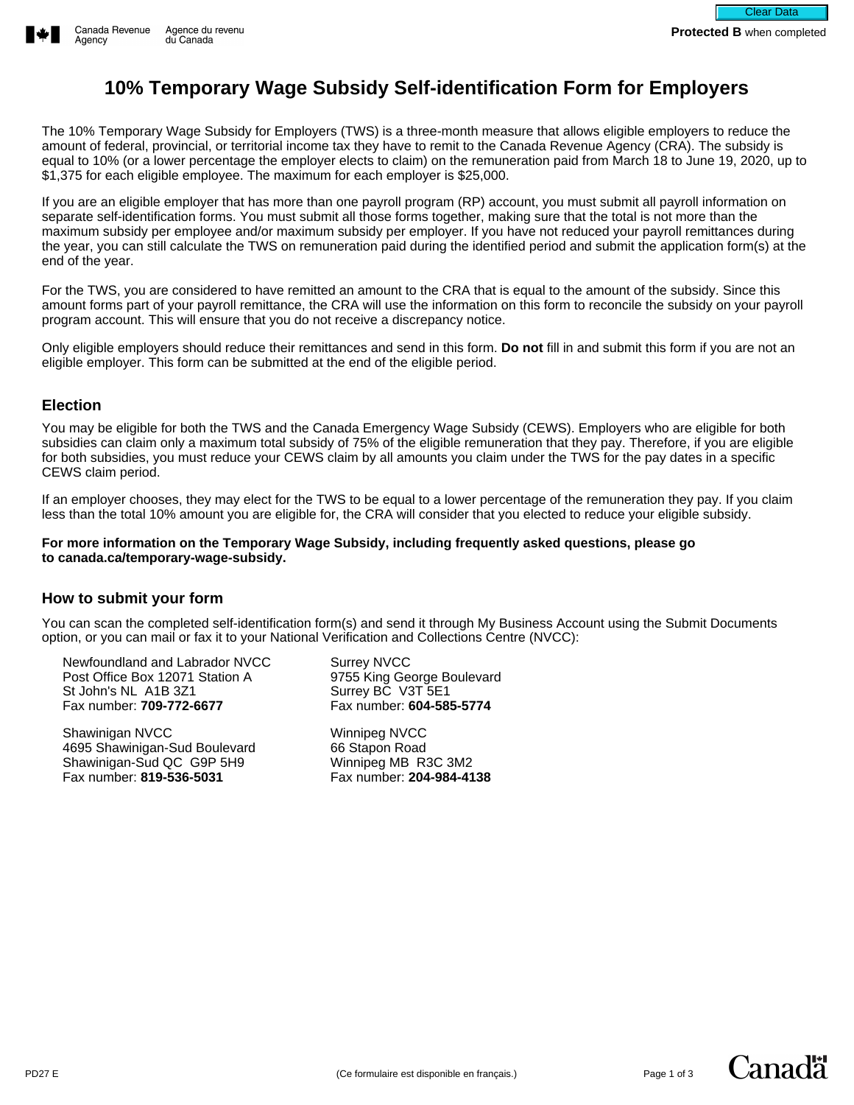## **10% Temporary Wage Subsidy Self-identification Form for Employers**

The 10% Temporary Wage Subsidy for Employers (TWS) is a three-month measure that allows eligible employers to reduce the amount of federal, provincial, or territorial income tax they have to remit to the Canada Revenue Agency (CRA). The subsidy is equal to 10% (or a lower percentage the employer elects to claim) on the remuneration paid from March 18 to June 19, 2020, up to \$1,375 for each eligible employee. The maximum for each employer is \$25,000.

If you are an eligible employer that has more than one payroll program (RP) account, you must submit all payroll information on separate self-identification forms. You must submit all those forms together, making sure that the total is not more than the maximum subsidy per employee and/or maximum subsidy per employer. If you have not reduced your payroll remittances during the year, you can still calculate the TWS on remuneration paid during the identified period and submit the application form(s) at the end of the year.

For the TWS, you are considered to have remitted an amount to the CRA that is equal to the amount of the subsidy. Since this amount forms part of your payroll remittance, the CRA will use the information on this form to reconcile the subsidy on your payroll program account. This will ensure that you do not receive a discrepancy notice.

Only eligible employers should reduce their remittances and send in this form. **Do not** fill in and submit this form if you are not an eligible employer. This form can be submitted at the end of the eligible period.

## **Election**

You may be eligible for both the TWS and the Canada Emergency Wage Subsidy (CEWS). Employers who are eligible for both subsidies can claim only a maximum total subsidy of 75% of the eligible remuneration that they pay. Therefore, if you are eligible for both subsidies, you must reduce your CEWS claim by all amounts you claim under the TWS for the pay dates in a specific CEWS claim period.

If an employer chooses, they may elect for the TWS to be equal to a lower percentage of the remuneration they pay. If you claim less than the total 10% amount you are eligible for, the CRA will consider that you elected to reduce your eligible subsidy.

**For more information on the Temporary Wage Subsidy, including frequently asked questions, please go to canada.ca/temporary-wage-subsidy.**

## **How to submit your form**

You can scan the completed self-identification form(s) and send it through My Business Account using the Submit Documents option, or you can mail or fax it to your National Verification and Collections Centre (NVCC):

Newfoundland and Labrador NVCC Post Office Box 12071 Station A St John's NL A1B 3Z1 Fax number: **709-772-6677**

Shawinigan NVCC 4695 Shawinigan-Sud Boulevard Shawinigan-Sud QC G9P 5H9 Fax number: **819-536-5031**

Surrey NVCC 9755 King George Boulevard Surrey BC V3T 5E1 Fax number: **604-585-5774**

Winnipeg NVCC 66 Stapon Road Winnipeg MB R3C 3M2 Fax number: **204-984-4138**

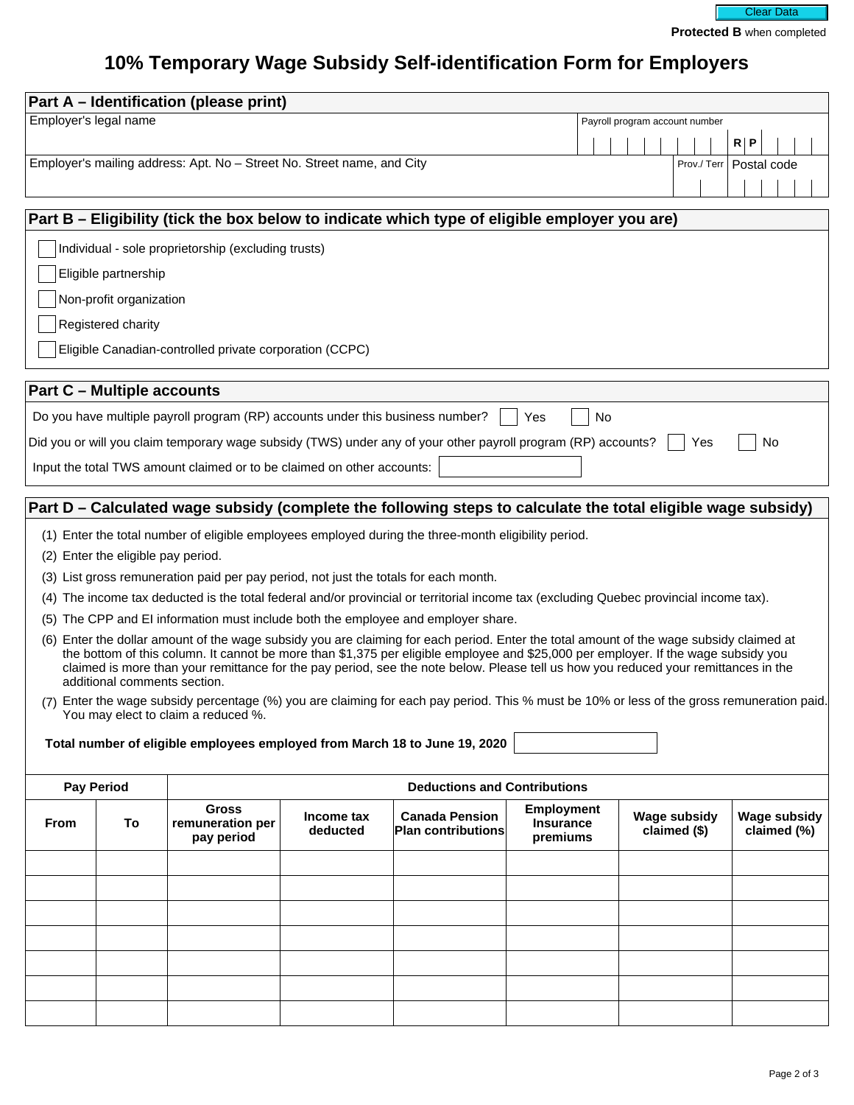

## **10% Temporary Wage Subsidy Self-identification Form for Employers**

| Part A - Identification (please print)                                                                                                                                                                                                                                                                                                                                                                                                               |    |                                                                                                               |                        |                                                    |                                                   |                                     |                                    |  |  |  |  |  |  |
|------------------------------------------------------------------------------------------------------------------------------------------------------------------------------------------------------------------------------------------------------------------------------------------------------------------------------------------------------------------------------------------------------------------------------------------------------|----|---------------------------------------------------------------------------------------------------------------|------------------------|----------------------------------------------------|---------------------------------------------------|-------------------------------------|------------------------------------|--|--|--|--|--|--|
| Employer's legal name                                                                                                                                                                                                                                                                                                                                                                                                                                |    |                                                                                                               |                        |                                                    |                                                   | Payroll program account number      |                                    |  |  |  |  |  |  |
|                                                                                                                                                                                                                                                                                                                                                                                                                                                      |    |                                                                                                               |                        |                                                    |                                                   |                                     | R   P                              |  |  |  |  |  |  |
| Employer's mailing address: Apt. No - Street No. Street name, and City                                                                                                                                                                                                                                                                                                                                                                               |    |                                                                                                               |                        |                                                    |                                                   |                                     | Prov./Terr   Postal code           |  |  |  |  |  |  |
|                                                                                                                                                                                                                                                                                                                                                                                                                                                      |    |                                                                                                               |                        |                                                    |                                                   |                                     |                                    |  |  |  |  |  |  |
| Part B – Eligibility (tick the box below to indicate which type of eligible employer you are)                                                                                                                                                                                                                                                                                                                                                        |    |                                                                                                               |                        |                                                    |                                                   |                                     |                                    |  |  |  |  |  |  |
| Individual - sole proprietorship (excluding trusts)                                                                                                                                                                                                                                                                                                                                                                                                  |    |                                                                                                               |                        |                                                    |                                                   |                                     |                                    |  |  |  |  |  |  |
| Eligible partnership                                                                                                                                                                                                                                                                                                                                                                                                                                 |    |                                                                                                               |                        |                                                    |                                                   |                                     |                                    |  |  |  |  |  |  |
| Non-profit organization                                                                                                                                                                                                                                                                                                                                                                                                                              |    |                                                                                                               |                        |                                                    |                                                   |                                     |                                    |  |  |  |  |  |  |
| Registered charity                                                                                                                                                                                                                                                                                                                                                                                                                                   |    |                                                                                                               |                        |                                                    |                                                   |                                     |                                    |  |  |  |  |  |  |
| Eligible Canadian-controlled private corporation (CCPC)                                                                                                                                                                                                                                                                                                                                                                                              |    |                                                                                                               |                        |                                                    |                                                   |                                     |                                    |  |  |  |  |  |  |
| <b>Part C - Multiple accounts</b>                                                                                                                                                                                                                                                                                                                                                                                                                    |    |                                                                                                               |                        |                                                    |                                                   |                                     |                                    |  |  |  |  |  |  |
|                                                                                                                                                                                                                                                                                                                                                                                                                                                      |    | Do you have multiple payroll program (RP) accounts under this business number?                                |                        |                                                    | No<br>Yes                                         |                                     |                                    |  |  |  |  |  |  |
|                                                                                                                                                                                                                                                                                                                                                                                                                                                      |    | Did you or will you claim temporary wage subsidy (TWS) under any of your other payroll program (RP) accounts? |                        |                                                    |                                                   | Yes                                 | No                                 |  |  |  |  |  |  |
| Input the total TWS amount claimed or to be claimed on other accounts:                                                                                                                                                                                                                                                                                                                                                                               |    |                                                                                                               |                        |                                                    |                                                   |                                     |                                    |  |  |  |  |  |  |
| Part D – Calculated wage subsidy (complete the following steps to calculate the total eligible wage subsidy)                                                                                                                                                                                                                                                                                                                                         |    |                                                                                                               |                        |                                                    |                                                   |                                     |                                    |  |  |  |  |  |  |
| (1) Enter the total number of eligible employees employed during the three-month eligibility period.                                                                                                                                                                                                                                                                                                                                                 |    |                                                                                                               |                        |                                                    |                                                   |                                     |                                    |  |  |  |  |  |  |
| (2) Enter the eligible pay period.                                                                                                                                                                                                                                                                                                                                                                                                                   |    |                                                                                                               |                        |                                                    |                                                   |                                     |                                    |  |  |  |  |  |  |
|                                                                                                                                                                                                                                                                                                                                                                                                                                                      |    | (3) List gross remuneration paid per pay period, not just the totals for each month.                          |                        |                                                    |                                                   |                                     |                                    |  |  |  |  |  |  |
| (4) The income tax deducted is the total federal and/or provincial or territorial income tax (excluding Quebec provincial income tax).                                                                                                                                                                                                                                                                                                               |    |                                                                                                               |                        |                                                    |                                                   |                                     |                                    |  |  |  |  |  |  |
| (5) The CPP and EI information must include both the employee and employer share.                                                                                                                                                                                                                                                                                                                                                                    |    |                                                                                                               |                        |                                                    |                                                   |                                     |                                    |  |  |  |  |  |  |
| (6) Enter the dollar amount of the wage subsidy you are claiming for each period. Enter the total amount of the wage subsidy claimed at<br>the bottom of this column. It cannot be more than \$1,375 per eligible employee and \$25,000 per employer. If the wage subsidy you<br>claimed is more than your remittance for the pay period, see the note below. Please tell us how you reduced your remittances in the<br>additional comments section. |    |                                                                                                               |                        |                                                    |                                                   |                                     |                                    |  |  |  |  |  |  |
| (7) Enter the wage subsidy percentage (%) you are claiming for each pay period. This % must be 10% or less of the gross remuneration paid.<br>You may elect to claim a reduced %.                                                                                                                                                                                                                                                                    |    |                                                                                                               |                        |                                                    |                                                   |                                     |                                    |  |  |  |  |  |  |
|                                                                                                                                                                                                                                                                                                                                                                                                                                                      |    |                                                                                                               |                        |                                                    |                                                   |                                     |                                    |  |  |  |  |  |  |
|                                                                                                                                                                                                                                                                                                                                                                                                                                                      |    | Total number of eligible employees employed from March 18 to June 19, 2020                                    |                        |                                                    |                                                   |                                     |                                    |  |  |  |  |  |  |
| <b>Pay Period</b><br><b>Deductions and Contributions</b>                                                                                                                                                                                                                                                                                                                                                                                             |    |                                                                                                               |                        |                                                    |                                                   |                                     |                                    |  |  |  |  |  |  |
| From                                                                                                                                                                                                                                                                                                                                                                                                                                                 | To | <b>Gross</b><br>remuneration per<br>pay period                                                                | Income tax<br>deducted | <b>Canada Pension</b><br><b>Plan contributions</b> | <b>Employment</b><br><b>Insurance</b><br>premiums | <b>Wage subsidy</b><br>claimed (\$) | <b>Wage subsidy</b><br>claimed (%) |  |  |  |  |  |  |
|                                                                                                                                                                                                                                                                                                                                                                                                                                                      |    |                                                                                                               |                        |                                                    |                                                   |                                     |                                    |  |  |  |  |  |  |
|                                                                                                                                                                                                                                                                                                                                                                                                                                                      |    |                                                                                                               |                        |                                                    |                                                   |                                     |                                    |  |  |  |  |  |  |
|                                                                                                                                                                                                                                                                                                                                                                                                                                                      |    |                                                                                                               |                        |                                                    |                                                   |                                     |                                    |  |  |  |  |  |  |
|                                                                                                                                                                                                                                                                                                                                                                                                                                                      |    |                                                                                                               |                        |                                                    |                                                   |                                     |                                    |  |  |  |  |  |  |
|                                                                                                                                                                                                                                                                                                                                                                                                                                                      |    |                                                                                                               |                        |                                                    |                                                   |                                     |                                    |  |  |  |  |  |  |
|                                                                                                                                                                                                                                                                                                                                                                                                                                                      |    |                                                                                                               |                        |                                                    |                                                   |                                     |                                    |  |  |  |  |  |  |
|                                                                                                                                                                                                                                                                                                                                                                                                                                                      |    |                                                                                                               |                        |                                                    |                                                   |                                     |                                    |  |  |  |  |  |  |
|                                                                                                                                                                                                                                                                                                                                                                                                                                                      |    |                                                                                                               |                        |                                                    |                                                   |                                     |                                    |  |  |  |  |  |  |